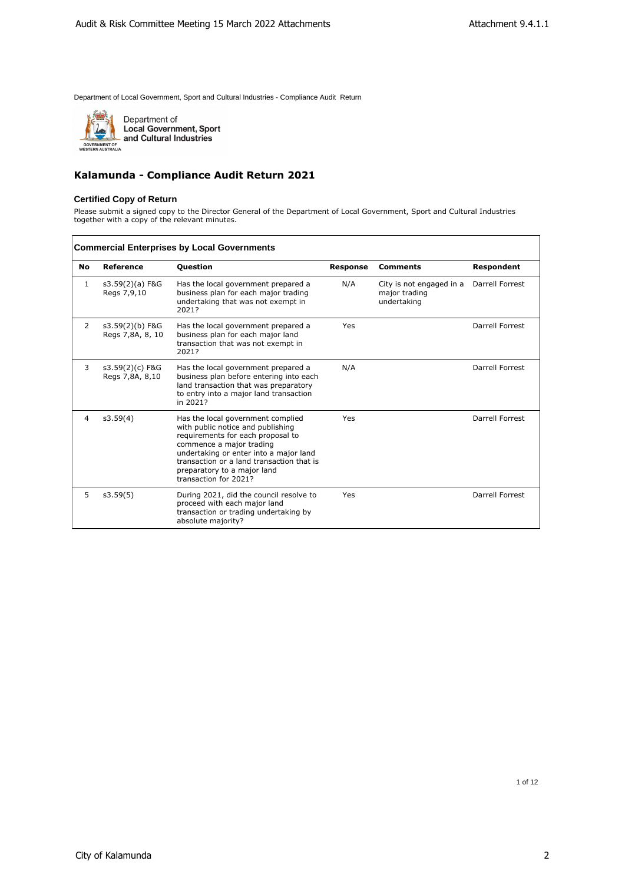

Department of<br>Local Government, Sport<br>and Cultural Industries

# **Kalamunda - Compliance Audit Return 2021**

#### **Certified Copy of Return**

Please submit a signed copy to the Director General of the Department of Local Government, Sport and Cultural Industries together with a copy of the relevant minutes.

| <b>Commercial Enterprises by Local Governments</b> |                                     |                                                                                                                                                                                                                                                                                        |          |                                                          |                   |  |
|----------------------------------------------------|-------------------------------------|----------------------------------------------------------------------------------------------------------------------------------------------------------------------------------------------------------------------------------------------------------------------------------------|----------|----------------------------------------------------------|-------------------|--|
| <b>No</b>                                          | Reference                           | <b>Question</b>                                                                                                                                                                                                                                                                        | Response | <b>Comments</b>                                          | <b>Respondent</b> |  |
| 1                                                  | $s3.59(2)(a)$ F&G<br>Regs 7,9,10    | Has the local government prepared a<br>business plan for each major trading<br>undertaking that was not exempt in<br>2021?                                                                                                                                                             | N/A      | City is not engaged in a<br>major trading<br>undertaking | Darrell Forrest   |  |
| 2                                                  | s3.59(2)(b) F&G<br>Regs 7,8A, 8, 10 | Has the local government prepared a<br>business plan for each major land<br>transaction that was not exempt in<br>2021?                                                                                                                                                                | Yes      |                                                          | Darrell Forrest   |  |
| 3                                                  | s3.59(2)(c) F&G<br>Regs 7,8A, 8,10  | Has the local government prepared a<br>business plan before entering into each<br>land transaction that was preparatory<br>to entry into a major land transaction<br>in 2021?                                                                                                          | N/A      |                                                          | Darrell Forrest   |  |
| 4                                                  | s3.59(4)                            | Has the local government complied<br>with public notice and publishing<br>requirements for each proposal to<br>commence a major trading<br>undertaking or enter into a major land<br>transaction or a land transaction that is<br>preparatory to a major land<br>transaction for 2021? | Yes      |                                                          | Darrell Forrest   |  |
| 5                                                  | s3.59(5)                            | During 2021, did the council resolve to<br>proceed with each major land<br>transaction or trading undertaking by<br>absolute majority?                                                                                                                                                 | Yes      |                                                          | Darrell Forrest   |  |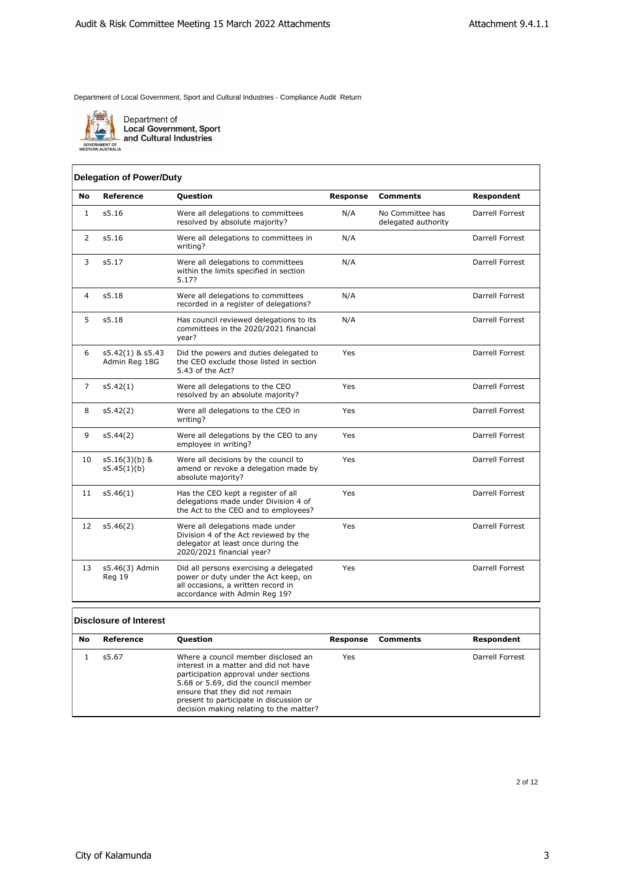

Department of<br>Local Government, Sport<br>and Cultural Industries

| <b>GUVERNMENT UF</b> |                          |
|----------------------|--------------------------|
|                      | <b>NESTERN AUSTRALIA</b> |

# **Delegation of Power/Duty**

| No             | Reference                         | Question                                                                                                                                              | <b>Response</b> | <b>Comments</b>                         | Respondent             |
|----------------|-----------------------------------|-------------------------------------------------------------------------------------------------------------------------------------------------------|-----------------|-----------------------------------------|------------------------|
| $\mathbf{1}$   | s5.16                             | Were all delegations to committees<br>resolved by absolute majority?                                                                                  | N/A             | No Committee has<br>delegated authority | Darrell Forrest        |
| 2              | s5.16                             | Were all delegations to committees in<br>writing?                                                                                                     | N/A             |                                         | Darrell Forrest        |
| 3              | s5.17                             | Were all delegations to committees<br>within the limits specified in section<br>5.17?                                                                 | N/A             |                                         | Darrell Forrest        |
| 4              | s5.18                             | Were all delegations to committees<br>recorded in a register of delegations?                                                                          | N/A             |                                         | Darrell Forrest        |
| 5              | s5.18                             | Has council reviewed delegations to its<br>committees in the 2020/2021 financial<br>year?                                                             | N/A             |                                         | Darrell Forrest        |
| 6              | s5.42(1) & s5.43<br>Admin Reg 18G | Did the powers and duties delegated to<br>the CEO exclude those listed in section<br>5.43 of the Act?                                                 | Yes             |                                         | <b>Darrell Forrest</b> |
| $\overline{7}$ | s5.42(1)                          | Were all delegations to the CEO<br>resolved by an absolute majority?                                                                                  | Yes             |                                         | Darrell Forrest        |
| 8              | s5.42(2)                          | Were all delegations to the CEO in<br>writing?                                                                                                        | Yes             |                                         | Darrell Forrest        |
| 9              | s5.44(2)                          | Were all delegations by the CEO to any<br>employee in writing?                                                                                        | Yes             |                                         | Darrell Forrest        |
| 10             | $s5.16(3)(b)$ &<br>s5.45(1)(b)    | Were all decisions by the council to<br>amend or revoke a delegation made by<br>absolute majority?                                                    | Yes             |                                         | Darrell Forrest        |
| 11             | s5.46(1)                          | Has the CEO kept a register of all<br>delegations made under Division 4 of<br>the Act to the CEO and to employees?                                    | Yes             |                                         | Darrell Forrest        |
| 12             | s5.46(2)                          | Were all delegations made under<br>Division 4 of the Act reviewed by the<br>delegator at least once during the<br>2020/2021 financial year?           | Yes             |                                         | <b>Darrell Forrest</b> |
| 13             | s5.46(3) Admin<br>Reg 19          | Did all persons exercising a delegated<br>power or duty under the Act keep, on<br>all occasions, a written record in<br>accordance with Admin Reg 19? | Yes             |                                         | Darrell Forrest        |

#### **Disclosure of Interest**

| No | Reference | <b>Question</b>                                                                                                                                                                                                                                                                        | Response | Comments | Respondent      |
|----|-----------|----------------------------------------------------------------------------------------------------------------------------------------------------------------------------------------------------------------------------------------------------------------------------------------|----------|----------|-----------------|
|    |           |                                                                                                                                                                                                                                                                                        |          |          |                 |
|    | s5.67     | Where a council member disclosed an<br>interest in a matter and did not have<br>participation approval under sections<br>5.68 or 5.69, did the council member<br>ensure that they did not remain<br>present to participate in discussion or<br>decision making relating to the matter? | Yes      |          | Darrell Forrest |

2 of 12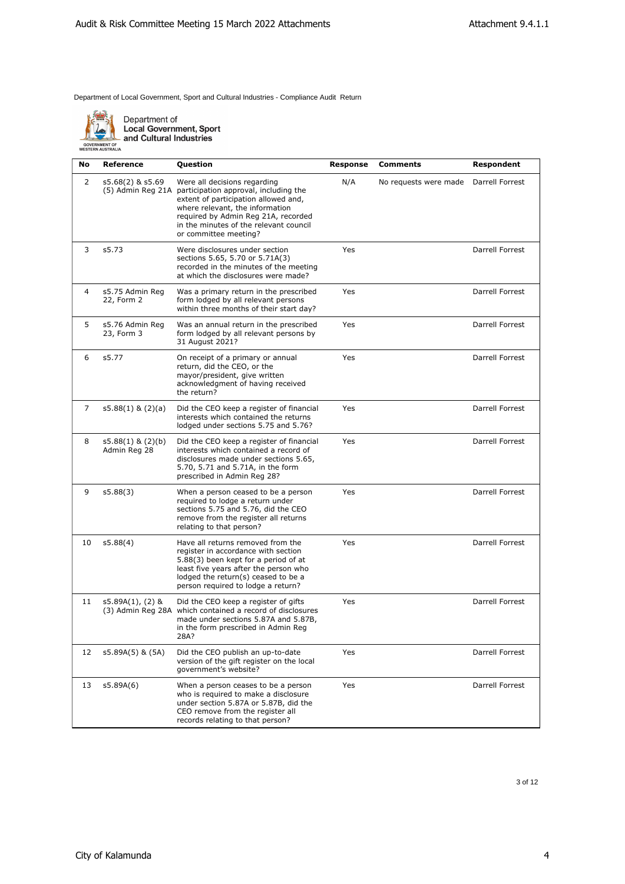

| No | <b>Reference</b>                      | Question                                                                                                                                                                                                                                                                     | Response | <b>Comments</b>                        | Respondent      |
|----|---------------------------------------|------------------------------------------------------------------------------------------------------------------------------------------------------------------------------------------------------------------------------------------------------------------------------|----------|----------------------------------------|-----------------|
| 2  | s5.68(2) & s5.69                      | Were all decisions regarding<br>(5) Admin Reg 21A participation approval, including the<br>extent of participation allowed and,<br>where relevant, the information<br>required by Admin Reg 21A, recorded<br>in the minutes of the relevant council<br>or committee meeting? | N/A      | No requests were made  Darrell Forrest |                 |
| 3  | s5.73                                 | Were disclosures under section<br>sections 5.65, 5.70 or 5.71A(3)<br>recorded in the minutes of the meeting<br>at which the disclosures were made?                                                                                                                           | Yes      |                                        | Darrell Forrest |
| 4  | s5.75 Admin Reg<br>22, Form 2         | Was a primary return in the prescribed<br>form lodged by all relevant persons<br>within three months of their start day?                                                                                                                                                     | Yes      |                                        | Darrell Forrest |
| 5  | s5.76 Admin Reg<br>23, Form 3         | Was an annual return in the prescribed<br>form lodged by all relevant persons by<br>31 August 2021?                                                                                                                                                                          | Yes      |                                        | Darrell Forrest |
| 6  | s5.77                                 | On receipt of a primary or annual<br>return, did the CEO, or the<br>mayor/president, give written<br>acknowledgment of having received<br>the return?                                                                                                                        | Yes      |                                        | Darrell Forrest |
| 7  | $s5.88(1)$ & $(2)(a)$                 | Did the CEO keep a register of financial<br>interests which contained the returns<br>lodged under sections 5.75 and 5.76?                                                                                                                                                    | Yes      |                                        | Darrell Forrest |
| 8  | $s5.88(1)$ & $(2)(b)$<br>Admin Reg 28 | Did the CEO keep a register of financial<br>interests which contained a record of<br>disclosures made under sections 5.65,<br>5.70, 5.71 and 5.71A, in the form<br>prescribed in Admin Reg 28?                                                                               | Yes      |                                        | Darrell Forrest |
| 9  | s5.88(3)                              | When a person ceased to be a person<br>required to lodge a return under<br>sections 5.75 and 5.76, did the CEO<br>remove from the register all returns<br>relating to that person?                                                                                           | Yes      |                                        | Darrell Forrest |
| 10 | s5.88(4)                              | Have all returns removed from the<br>register in accordance with section<br>5.88(3) been kept for a period of at<br>least five years after the person who<br>lodged the return(s) ceased to be a<br>person required to lodge a return?                                       | Yes      |                                        | Darrell Forrest |
| 11 | $s5.89A(1)$ , (2) &                   | Did the CEO keep a register of gifts<br>(3) Admin Reg 28A which contained a record of disclosures<br>made under sections 5.87A and 5.87B,<br>in the form prescribed in Admin Reg<br>28A?                                                                                     | Yes      |                                        | Darrell Forrest |
| 12 | s5.89A(5) & (5A)                      | Did the CEO publish an up-to-date<br>version of the gift register on the local<br>government's website?                                                                                                                                                                      | Yes      |                                        | Darrell Forrest |
| 13 | s5.89A(6)                             | When a person ceases to be a person<br>who is required to make a disclosure<br>under section 5.87A or 5.87B, did the<br>CEO remove from the register all<br>records relating to that person?                                                                                 | Yes      |                                        | Darrell Forrest |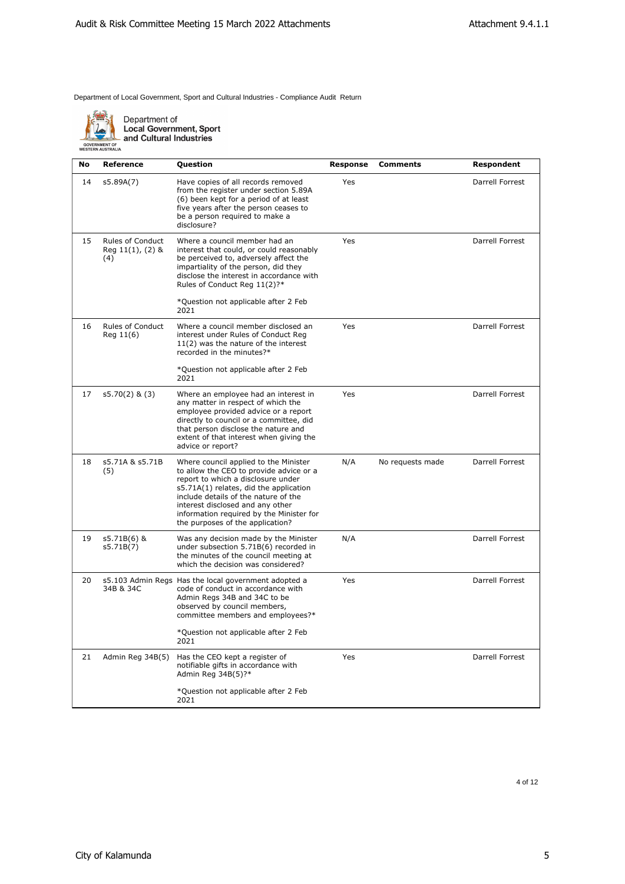

| No | <b>Reference</b>                                        | Question                                                                                                                                                                                                                                                                                                                     | Response | <b>Comments</b>  | Respondent      |
|----|---------------------------------------------------------|------------------------------------------------------------------------------------------------------------------------------------------------------------------------------------------------------------------------------------------------------------------------------------------------------------------------------|----------|------------------|-----------------|
| 14 | s5.89A(7)                                               | Have copies of all records removed<br>from the register under section 5.89A<br>(6) been kept for a period of at least<br>five years after the person ceases to<br>be a person required to make a<br>disclosure?                                                                                                              | Yes      |                  | Darrell Forrest |
| 15 | <b>Rules of Conduct</b><br>Reg $11(1)$ , $(2)$ &<br>(4) | Where a council member had an<br>interest that could, or could reasonably<br>be perceived to, adversely affect the<br>impartiality of the person, did they<br>disclose the interest in accordance with<br>Rules of Conduct Reg 11(2)?*                                                                                       | Yes      |                  | Darrell Forrest |
|    |                                                         | *Question not applicable after 2 Feb<br>2021                                                                                                                                                                                                                                                                                 |          |                  |                 |
| 16 | <b>Rules of Conduct</b><br>Reg 11(6)                    | Where a council member disclosed an<br>interest under Rules of Conduct Reg<br>11(2) was the nature of the interest<br>recorded in the minutes?*                                                                                                                                                                              | Yes      |                  | Darrell Forrest |
|    |                                                         | *Question not applicable after 2 Feb<br>2021                                                                                                                                                                                                                                                                                 |          |                  |                 |
| 17 | $s5.70(2)$ & $(3)$                                      | Where an employee had an interest in<br>any matter in respect of which the<br>employee provided advice or a report<br>directly to council or a committee, did<br>that person disclose the nature and<br>extent of that interest when giving the<br>advice or report?                                                         | Yes      |                  | Darrell Forrest |
| 18 | s5.71A & s5.71B<br>(5)                                  | Where council applied to the Minister<br>to allow the CEO to provide advice or a<br>report to which a disclosure under<br>s5.71A(1) relates, did the application<br>include details of the nature of the<br>interest disclosed and any other<br>information required by the Minister for<br>the purposes of the application? | N/A      | No requests made | Darrell Forrest |
| 19 | s5.71B(6) &<br>s5.71B(7)                                | Was any decision made by the Minister<br>under subsection 5.71B(6) recorded in<br>the minutes of the council meeting at<br>which the decision was considered?                                                                                                                                                                | N/A      |                  | Darrell Forrest |
| 20 | 34B & 34C                                               | s5.103 Admin Regs Has the local government adopted a<br>code of conduct in accordance with<br>Admin Regs 34B and 34C to be<br>observed by council members,<br>committee members and employees?*                                                                                                                              | Yes      |                  | Darrell Forrest |
|    |                                                         | *Question not applicable after 2 Feb<br>2021                                                                                                                                                                                                                                                                                 |          |                  |                 |
| 21 | Admin Reg 34B(5)                                        | Has the CEO kept a register of<br>notifiable gifts in accordance with<br>Admin Reg 34B(5)?*                                                                                                                                                                                                                                  | Yes      |                  | Darrell Forrest |
|    |                                                         | *Question not applicable after 2 Feb<br>2021                                                                                                                                                                                                                                                                                 |          |                  |                 |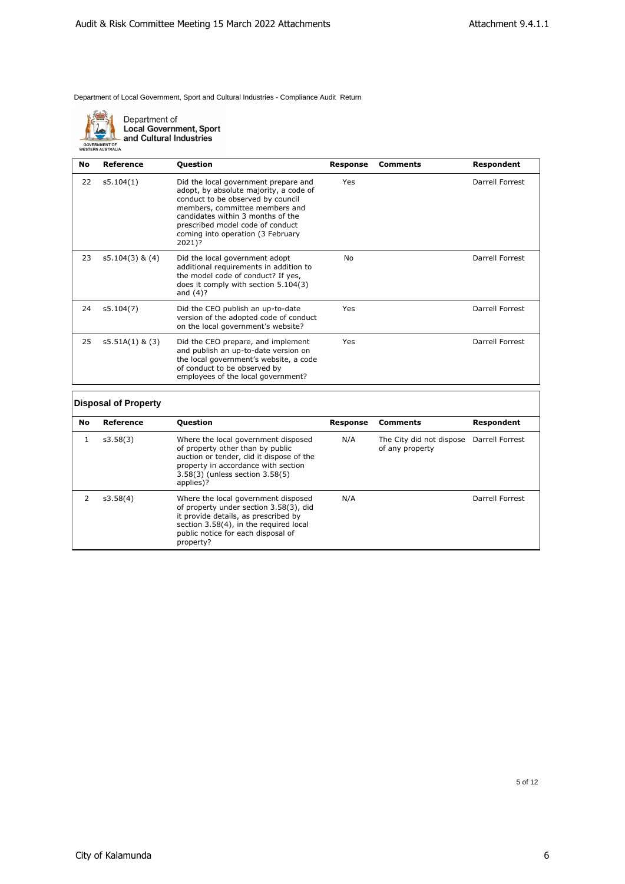

Department of **Local Government, Sport** and Cultural Industries

**No Reference Question Response Comments Respondent** 22 s5.104(1) Did the local government prepare and adopt, by absolute majority, a code of conduct to be observed by council members, committee members and candidates within 3 months of the prescribed model code of conduct coming into operation (3 February 2021)? Yes Darrell Forrest 23 s5.104(3) & (4) Did the local government adopt additional requirements in addition to the model code of conduct? If yes, does it comply with section 5.104(3) and (4)? No Darrell Forrest 24 s5.104(7) Did the CEO publish an up-to-date version of the adopted code of conduct on the local government's website? Yes Darrell Forrest 25 s5.51A(1) & (3) Did the CEO prepare, and implement and publish an up-to-date version on the local government's website, a code of conduct to be observed by employees of the local government? Yes Darrell Forrest **Disposal of Property**

| <b>No</b> | Reference | <b>Question</b>                                                                                                                                                                                                    | Response | <b>Comments</b>                                             | Respondent      |
|-----------|-----------|--------------------------------------------------------------------------------------------------------------------------------------------------------------------------------------------------------------------|----------|-------------------------------------------------------------|-----------------|
|           | s3.58(3)  | Where the local government disposed<br>of property other than by public<br>auction or tender, did it dispose of the<br>property in accordance with section<br>3.58(3) (unless section 3.58(5)<br>applies)?         | N/A      | The City did not dispose Darrell Forrest<br>of any property |                 |
|           | s3.58(4)  | Where the local government disposed<br>of property under section 3.58(3), did<br>it provide details, as prescribed by<br>section 3.58(4), in the required local<br>public notice for each disposal of<br>property? | N/A      |                                                             | Darrell Forrest |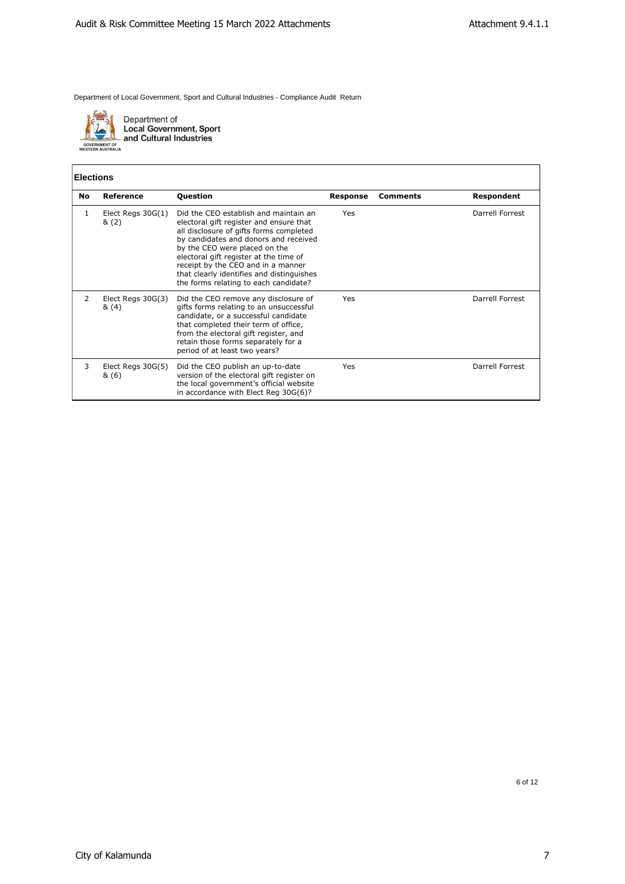

Department of<br>Local Government, Sport<br>and Cultural Industries

#### **Elections**

| No | <b>Reference</b>             | <b>Question</b>                                                                                                                                                                                                                                                                                                                                                             | Response   | <b>Comments</b> | Respondent      |
|----|------------------------------|-----------------------------------------------------------------------------------------------------------------------------------------------------------------------------------------------------------------------------------------------------------------------------------------------------------------------------------------------------------------------------|------------|-----------------|-----------------|
| 1  | Elect Regs $30G(1)$<br>& (2) | Did the CEO establish and maintain an<br>electoral gift register and ensure that<br>all disclosure of gifts forms completed<br>by candidates and donors and received<br>by the CEO were placed on the<br>electoral gift register at the time of<br>receipt by the CEO and in a manner<br>that clearly identifies and distinguishes<br>the forms relating to each candidate? | <b>Yes</b> |                 | Darrell Forrest |
| 2  | Elect Regs 30G(3)<br>& (4)   | Did the CEO remove any disclosure of<br>gifts forms relating to an unsuccessful<br>candidate, or a successful candidate<br>that completed their term of office,<br>from the electoral gift register, and<br>retain those forms separately for a<br>period of at least two years?                                                                                            | <b>Yes</b> |                 | Darrell Forrest |
| 3  | Elect Regs 30G(5)<br>&(6)    | Did the CEO publish an up-to-date<br>version of the electoral gift register on<br>the local government's official website<br>in accordance with Elect Reg 30G(6)?                                                                                                                                                                                                           | Yes        |                 | Darrell Forrest |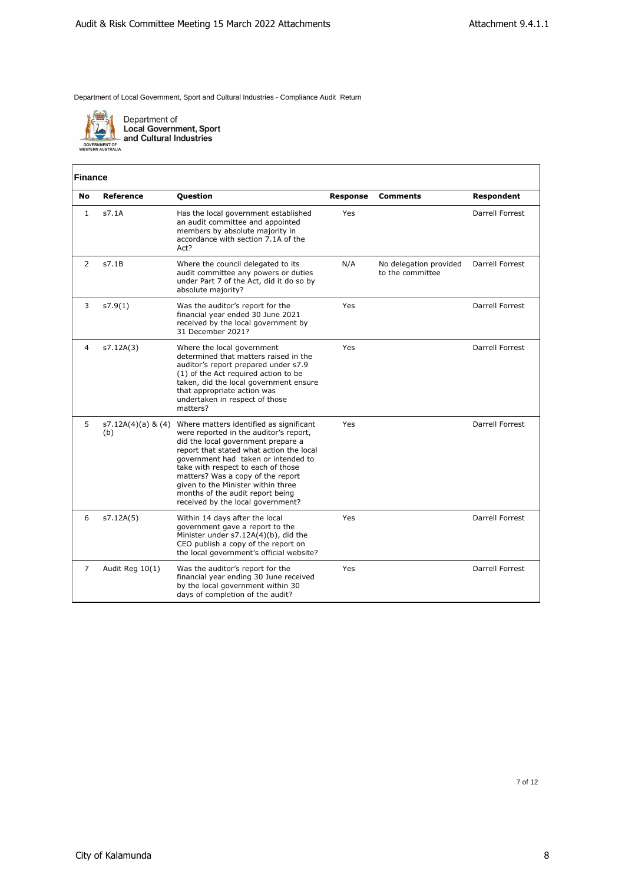

| <b>Finance</b> |                           |                                                                                                                                                                                                                                                                                                                                                                                                      |                 |                                            |                   |
|----------------|---------------------------|------------------------------------------------------------------------------------------------------------------------------------------------------------------------------------------------------------------------------------------------------------------------------------------------------------------------------------------------------------------------------------------------------|-----------------|--------------------------------------------|-------------------|
| No             | <b>Reference</b>          | Question                                                                                                                                                                                                                                                                                                                                                                                             | <b>Response</b> | <b>Comments</b>                            | <b>Respondent</b> |
| $\mathbf{1}$   | s7.1A                     | Has the local government established<br>an audit committee and appointed<br>members by absolute majority in<br>accordance with section 7.1A of the<br>Act?                                                                                                                                                                                                                                           | Yes             |                                            | Darrell Forrest   |
| 2              | s7.1B                     | Where the council delegated to its<br>audit committee any powers or duties<br>under Part 7 of the Act, did it do so by<br>absolute majority?                                                                                                                                                                                                                                                         | N/A             | No delegation provided<br>to the committee | Darrell Forrest   |
| 3              | s7.9(1)                   | Was the auditor's report for the<br>financial year ended 30 June 2021<br>received by the local government by<br>31 December 2021?                                                                                                                                                                                                                                                                    | Yes             |                                            | Darrell Forrest   |
| 4              | s7.12A(3)                 | Where the local government<br>determined that matters raised in the<br>auditor's report prepared under s7.9<br>(1) of the Act required action to be<br>taken, did the local government ensure<br>that appropriate action was<br>undertaken in respect of those<br>matters?                                                                                                                           | Yes             |                                            | Darrell Forrest   |
| 5              | s7.12A(4)(a) & (4)<br>(b) | Where matters identified as significant<br>were reported in the auditor's report,<br>did the local government prepare a<br>report that stated what action the local<br>government had taken or intended to<br>take with respect to each of those<br>matters? Was a copy of the report<br>given to the Minister within three<br>months of the audit report being<br>received by the local government? | Yes             |                                            | Darrell Forrest   |
| 6              | s7.12A(5)                 | Within 14 days after the local<br>government gave a report to the<br>Minister under s7.12A(4)(b), did the<br>CEO publish a copy of the report on<br>the local government's official website?                                                                                                                                                                                                         | Yes             |                                            | Darrell Forrest   |
| $\overline{7}$ | Audit Reg 10(1)           | Was the auditor's report for the<br>financial year ending 30 June received<br>by the local government within 30<br>days of completion of the audit?                                                                                                                                                                                                                                                  | Yes             |                                            | Darrell Forrest   |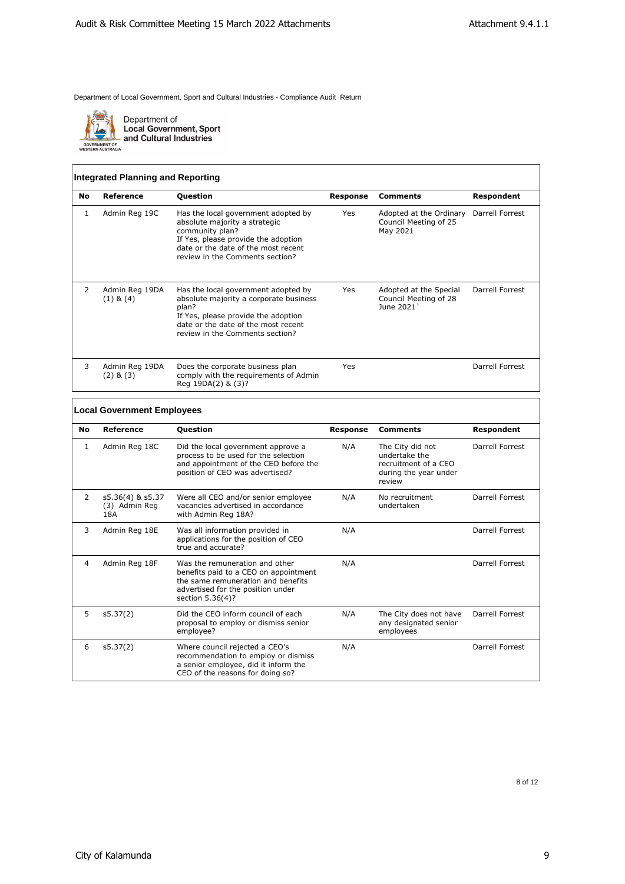

Department of<br>Local Government, Sport<br>and Cultural Industries

# **Integrated Planning and Reporting**

| <b>No</b>     | Reference                       | <b>Question</b>                                                                                                                                                                                          | Response | <b>Comments</b>                                                              | Respondent      |
|---------------|---------------------------------|----------------------------------------------------------------------------------------------------------------------------------------------------------------------------------------------------------|----------|------------------------------------------------------------------------------|-----------------|
| ı             | Admin Reg 19C                   | Has the local government adopted by<br>absolute majority a strategic<br>community plan?<br>If Yes, please provide the adoption<br>date or the date of the most recent<br>review in the Comments section? | Yes      | Adopted at the Ordinary Darrell Forrest<br>Council Meeting of 25<br>May 2021 |                 |
| $\mathcal{P}$ | Admin Reg 19DA<br>$(1)$ & $(4)$ | Has the local government adopted by<br>absolute majority a corporate business<br>plan?<br>If Yes, please provide the adoption<br>date or the date of the most recent<br>review in the Comments section?  | Yes      | Adopted at the Special<br>Council Meeting of 28<br>June 2021                 | Darrell Forrest |
| 3             | Admin Reg 19DA<br>$(2)$ & $(3)$ | Does the corporate business plan<br>comply with the requirements of Admin<br>Reg 19DA(2) & (3)?                                                                                                          | Yes      |                                                                              | Darrell Forrest |
|               |                                 |                                                                                                                                                                                                          |          |                                                                              |                 |

#### **Local Government Employees**

| No | Reference                                | <b>Question</b>                                                                                                                                                        | <b>Response</b> | <b>Comments</b>                                                                              | Respondent             |
|----|------------------------------------------|------------------------------------------------------------------------------------------------------------------------------------------------------------------------|-----------------|----------------------------------------------------------------------------------------------|------------------------|
| 1  | Admin Reg 18C                            | Did the local government approve a<br>process to be used for the selection<br>and appointment of the CEO before the<br>position of CEO was advertised?                 | N/A             | The City did not<br>undertake the<br>recruitment of a CEO<br>during the year under<br>review | Darrell Forrest        |
| 2  | s5.36(4) & s5.37<br>(3) Admin Reg<br>18A | Were all CEO and/or senior employee<br>vacancies advertised in accordance<br>with Admin Reg 18A?                                                                       | N/A             | No recruitment<br>undertaken                                                                 | Darrell Forrest        |
| 3  | Admin Reg 18E                            | Was all information provided in<br>applications for the position of CEO<br>true and accurate?                                                                          | N/A             |                                                                                              | Darrell Forrest        |
| 4  | Admin Reg 18F                            | Was the remuneration and other<br>benefits paid to a CEO on appointment<br>the same remuneration and benefits<br>advertised for the position under<br>section 5.36(4)? | N/A             |                                                                                              | Darrell Forrest        |
| 5  | s5.37(2)                                 | Did the CEO inform council of each<br>proposal to employ or dismiss senior<br>employee?                                                                                | N/A             | The City does not have<br>any designated senior<br>employees                                 | Darrell Forrest        |
| 6  | s5.37(2)                                 | Where council rejected a CEO's<br>recommendation to employ or dismiss<br>a senior employee, did it inform the<br>CEO of the reasons for doing so?                      | N/A             |                                                                                              | <b>Darrell Forrest</b> |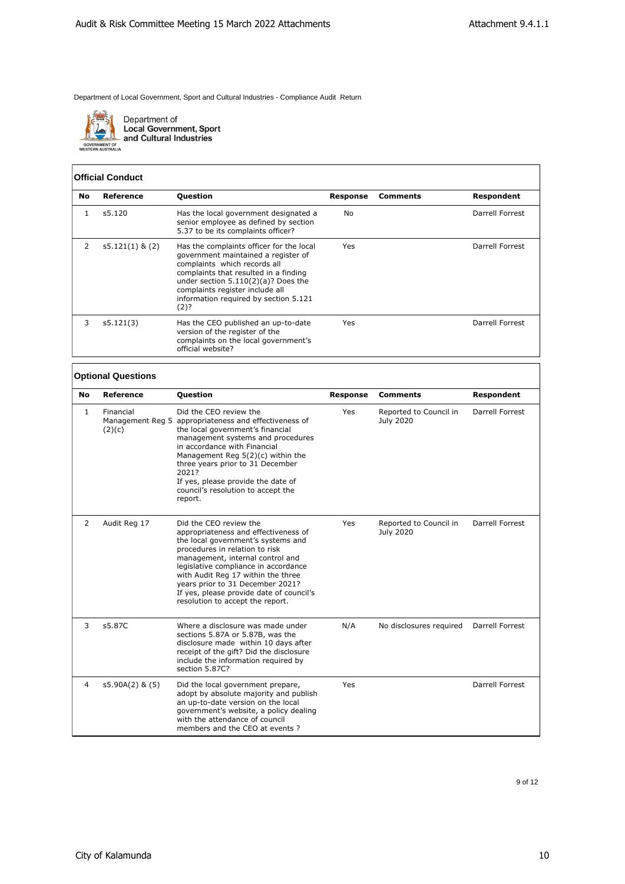

Department of<br>Local Government, Sport<br>and Cultural Industries

GOVERNMENT OF<br>WESTERN AUSTRALIA

#### **Official Conduct**

| No            | Reference         | <b>Question</b>                                                                                                                                                                                                                                                                       | Response | <b>Comments</b> | <b>Respondent</b> |
|---------------|-------------------|---------------------------------------------------------------------------------------------------------------------------------------------------------------------------------------------------------------------------------------------------------------------------------------|----------|-----------------|-------------------|
|               | s5.120            | Has the local government designated a<br>senior employee as defined by section<br>5.37 to be its complaints officer?                                                                                                                                                                  | No       |                 | Darrell Forrest   |
| $\mathcal{P}$ | $s5.121(1)$ & (2) | Has the complaints officer for the local<br>government maintained a register of<br>complaints which records all<br>complaints that resulted in a finding<br>under section $5.110(2)(a)?$ Does the<br>complaints register include all<br>information required by section 5.121<br>(2)? | Yes      |                 | Darrell Forrest   |
| 3             | s5.121(3)         | Has the CEO published an up-to-date<br>version of the register of the<br>complaints on the local government's<br>official website?                                                                                                                                                    | Yes      |                 | Darrell Forrest   |

# **Optional Questions**

| No | Reference           | <b>Question</b>                                                                                                                                                                                                                                                                                                                                                              | <b>Response</b> | Comments                                   | <b>Respondent</b> |
|----|---------------------|------------------------------------------------------------------------------------------------------------------------------------------------------------------------------------------------------------------------------------------------------------------------------------------------------------------------------------------------------------------------------|-----------------|--------------------------------------------|-------------------|
| 1  | Financial<br>(2)(c) | Did the CEO review the<br>Management Reg 5 appropriateness and effectiveness of<br>the local government's financial<br>management systems and procedures<br>in accordance with Financial<br>Management Reg 5(2)(c) within the<br>three years prior to 31 December<br>2021?<br>If yes, please provide the date of<br>council's resolution to accept the<br>report.            | Yes             | Reported to Council in<br>July 2020        | Darrell Forrest   |
| 2  | Audit Reg 17        | Did the CEO review the<br>appropriateness and effectiveness of<br>the local government's systems and<br>procedures in relation to risk<br>management, internal control and<br>legislative compliance in accordance<br>with Audit Reg 17 within the three<br>years prior to 31 December 2021?<br>If yes, please provide date of council's<br>resolution to accept the report. | Yes             | Reported to Council in<br><b>July 2020</b> | Darrell Forrest   |
| 3  | s5.87C              | Where a disclosure was made under<br>sections 5.87A or 5.87B, was the<br>disclosure made within 10 days after<br>receipt of the gift? Did the disclosure<br>include the information required by<br>section 5.87C?                                                                                                                                                            | N/A             | No disclosures required                    | Darrell Forrest   |
| 4  | $s5.90A(2)$ & $(5)$ | Did the local government prepare,<br>adopt by absolute majority and publish<br>an up-to-date version on the local<br>government's website, a policy dealing<br>with the attendance of council<br>members and the CEO at events?                                                                                                                                              | Yes             |                                            | Darrell Forrest   |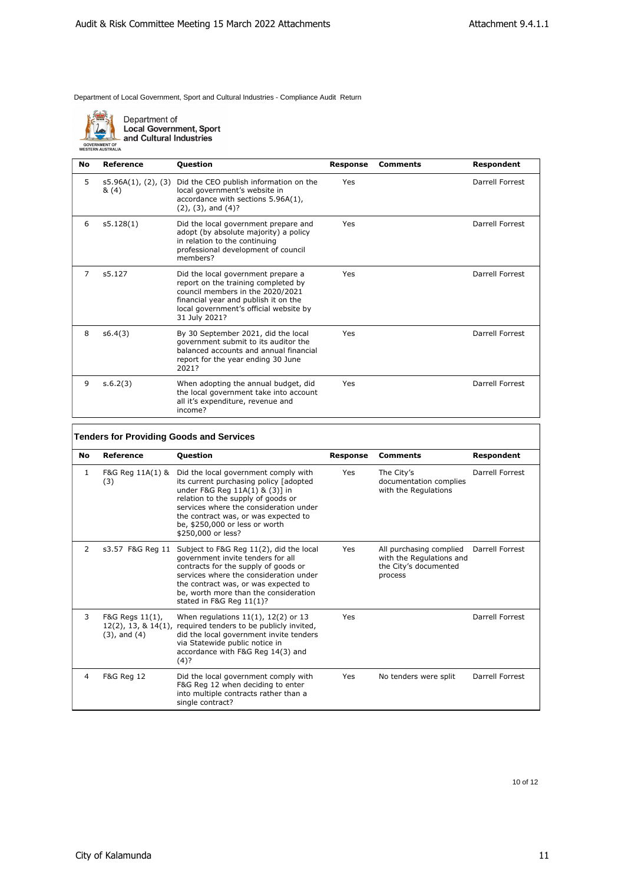

Department of<br>Local Government, Sport<br>and Cultural Industries

| No | Reference                           | <b>Question</b>                                                                                                                                                                                                  | <b>Response</b> | <b>Comments</b> | Respondent      |
|----|-------------------------------------|------------------------------------------------------------------------------------------------------------------------------------------------------------------------------------------------------------------|-----------------|-----------------|-----------------|
| 5  | $s5.96A(1)$ , $(2)$ , $(3)$<br>&(4) | Did the CEO publish information on the<br>local government's website in<br>accordance with sections 5.96A(1),<br>$(2)$ , $(3)$ , and $(4)$ ?                                                                     | Yes             |                 | Darrell Forrest |
| 6  | s5.128(1)                           | Did the local government prepare and<br>adopt (by absolute majority) a policy<br>in relation to the continuing<br>professional development of council<br>members?                                                | Yes             |                 | Darrell Forrest |
| 7  | s5.127                              | Did the local government prepare a<br>report on the training completed by<br>council members in the 2020/2021<br>financial year and publish it on the<br>local government's official website by<br>31 July 2021? | Yes             |                 | Darrell Forrest |
| 8  | s6.4(3)                             | By 30 September 2021, did the local<br>government submit to its auditor the<br>balanced accounts and annual financial<br>report for the year ending 30 June<br>2021?                                             | Yes             |                 | Darrell Forrest |
| 9  | s.6.2(3)                            | When adopting the annual budget, did<br>the local government take into account<br>all it's expenditure, revenue and<br>income?                                                                                   | Yes             |                 | Darrell Forrest |

# **Tenders for Providing Goods and Services**

| No | <b>Reference</b>                                                  | Question                                                                                                                                                                                                                                                                                         | <b>Response</b> | <b>Comments</b>                                                                         | Respondent      |
|----|-------------------------------------------------------------------|--------------------------------------------------------------------------------------------------------------------------------------------------------------------------------------------------------------------------------------------------------------------------------------------------|-----------------|-----------------------------------------------------------------------------------------|-----------------|
| 1  | F&G Reg 11A(1) &<br>(3)                                           | Did the local government comply with<br>its current purchasing policy [adopted<br>under F&G Reg 11A(1) & (3)] in<br>relation to the supply of goods or<br>services where the consideration under<br>the contract was, or was expected to<br>be, \$250,000 or less or worth<br>\$250,000 or less? | Yes             | The City's<br>documentation complies<br>with the Regulations                            | Darrell Forrest |
| 2  | s3.57 F&G Reg 11                                                  | Subject to F&G Reg 11(2), did the local<br>government invite tenders for all<br>contracts for the supply of goods or<br>services where the consideration under<br>the contract was, or was expected to<br>be, worth more than the consideration<br>stated in F&G Reg 11(1)?                      | Yes             | All purchasing complied<br>with the Regulations and<br>the City's documented<br>process | Darrell Forrest |
| 3  | F&G Regs 11(1),<br>$12(2)$ , 13, & $14(1)$ ,<br>$(3)$ , and $(4)$ | When regulations $11(1)$ , $12(2)$ or 13<br>required tenders to be publicly invited,<br>did the local government invite tenders<br>via Statewide public notice in<br>accordance with F&G Reg 14(3) and<br>$(4)$ ?                                                                                | Yes             |                                                                                         | Darrell Forrest |
| 4  | F&G Reg 12                                                        | Did the local government comply with<br>F&G Reg 12 when deciding to enter<br>into multiple contracts rather than a<br>single contract?                                                                                                                                                           | Yes             | No tenders were split                                                                   | Darrell Forrest |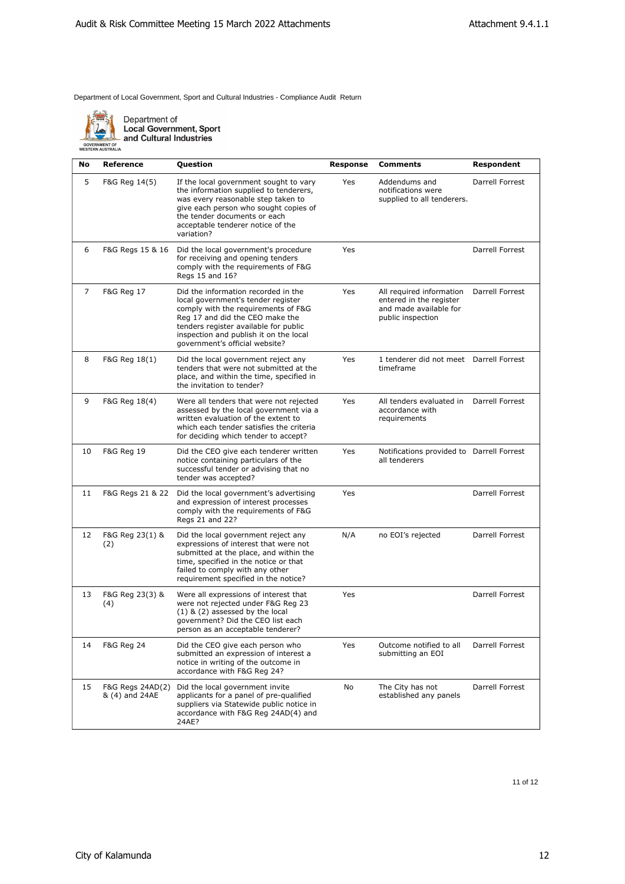

| No | Reference                          | Question                                                                                                                                                                                                                                                                 | Response | <b>Comments</b>                                                                                    | Respondent      |
|----|------------------------------------|--------------------------------------------------------------------------------------------------------------------------------------------------------------------------------------------------------------------------------------------------------------------------|----------|----------------------------------------------------------------------------------------------------|-----------------|
| 5  | F&G Reg 14(5)                      | If the local government sought to vary<br>the information supplied to tenderers,<br>was every reasonable step taken to<br>give each person who sought copies of<br>the tender documents or each<br>acceptable tenderer notice of the<br>variation?                       | Yes      | Addendums and<br>notifications were<br>supplied to all tenderers.                                  | Darrell Forrest |
| 6  | F&G Regs 15 & 16                   | Did the local government's procedure<br>for receiving and opening tenders<br>comply with the requirements of F&G<br>Regs 15 and 16?                                                                                                                                      | Yes      |                                                                                                    | Darrell Forrest |
| 7  | <b>F&amp;G Reg 17</b>              | Did the information recorded in the<br>local government's tender register<br>comply with the requirements of F&G<br>Reg 17 and did the CEO make the<br>tenders register available for public<br>inspection and publish it on the local<br>government's official website? | Yes      | All required information<br>entered in the register<br>and made available for<br>public inspection | Darrell Forrest |
| 8  | F&G Reg 18(1)                      | Did the local government reject any<br>tenders that were not submitted at the<br>place, and within the time, specified in<br>the invitation to tender?                                                                                                                   | Yes      | 1 tenderer did not meet Darrell Forrest<br>timeframe                                               |                 |
| 9  | F&G Reg 18(4)                      | Were all tenders that were not rejected<br>assessed by the local government via a<br>written evaluation of the extent to<br>which each tender satisfies the criteria<br>for deciding which tender to accept?                                                             | Yes      | All tenders evaluated in<br>accordance with<br>requirements                                        | Darrell Forrest |
| 10 | <b>F&amp;G Reg 19</b>              | Did the CEO give each tenderer written<br>notice containing particulars of the<br>successful tender or advising that no<br>tender was accepted?                                                                                                                          | Yes      | Notifications provided to Darrell Forrest<br>all tenderers                                         |                 |
| 11 | F&G Regs 21 & 22                   | Did the local government's advertising<br>and expression of interest processes<br>comply with the requirements of F&G<br>Regs 21 and 22?                                                                                                                                 | Yes      |                                                                                                    | Darrell Forrest |
| 12 | F&G Reg 23(1) &<br>(2)             | Did the local government reject any<br>expressions of interest that were not<br>submitted at the place, and within the<br>time, specified in the notice or that<br>failed to comply with any other<br>requirement specified in the notice?                               | N/A      | no EOI's rejected                                                                                  | Darrell Forrest |
| 13 | F&G Reg 23(3) &<br>(4)             | Were all expressions of interest that<br>were not rejected under F&G Reg 23<br>$(1)$ & $(2)$ assessed by the local<br>government? Did the CEO list each<br>person as an acceptable tenderer?                                                                             | Yes      |                                                                                                    | Darrell Forrest |
| 14 | <b>F&amp;G Reg 24</b>              | Did the CEO give each person who<br>submitted an expression of interest a<br>notice in writing of the outcome in<br>accordance with F&G Reg 24?                                                                                                                          | Yes      | Outcome notified to all<br>submitting an EOI                                                       | Darrell Forrest |
| 15 | F&G Regs 24AD(2)<br>& (4) and 24AE | Did the local government invite<br>applicants for a panel of pre-qualified<br>suppliers via Statewide public notice in<br>accordance with F&G Reg 24AD(4) and<br>24AE?                                                                                                   | No       | The City has not<br>established any panels                                                         | Darrell Forrest |